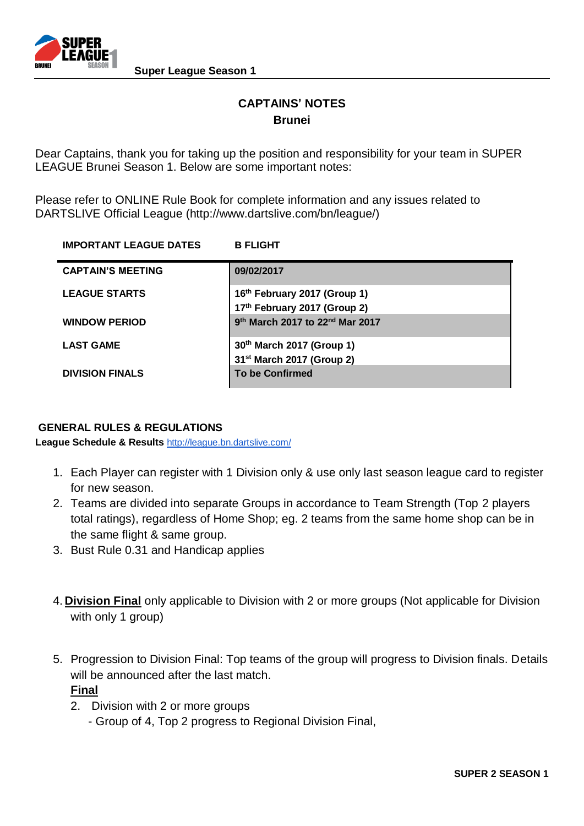

# **CAPTAINS' NOTES Brunei**

Dear Captains, thank you for taking up the position and responsibility for your team in SUPER LEAGUE Brunei Season 1. Below are some important notes:

Please refer to ONLINE Rule Book for complete information and any issues related to DARTSLIVE Official League (http://www.dartslive.com/bn/league/)

| <b>IMPORTANT LEAGUE DATES</b> | <b>B FLIGHT</b>                                         |
|-------------------------------|---------------------------------------------------------|
| <b>CAPTAIN'S MEETING</b>      | 09/02/2017                                              |
| <b>LEAGUE STARTS</b>          | 16th February 2017 (Group 1)                            |
|                               | 17th February 2017 (Group 2)                            |
| <b>WINDOW PERIOD</b>          | 9 <sup>th</sup> March 2017 to 22 <sup>nd</sup> Mar 2017 |
| <b>LAST GAME</b>              | 30th March 2017 (Group 1)                               |
|                               | 31 <sup>st</sup> March 2017 (Group 2)                   |
| <b>DIVISION FINALS</b>        | <b>To be Confirmed</b>                                  |

## **GENERAL RULES & REGULATIONS**

**League Schedule & Results** <http://league.bn.dartslive.com/>

- 1. Each Player can register with 1 Division only & use only last season league card to register for new season.
- 2. Teams are divided into separate Groups in accordance to Team Strength (Top 2 players total ratings), regardless of Home Shop; eg. 2 teams from the same home shop can be in the same flight & same group.
- 3. Bust Rule 0.31 and Handicap applies
- 4. **Division Final** only applicable to Division with 2 or more groups (Not applicable for Division with only 1 group)
- 5. Progression to Division Final: Top teams of the group will progress to Division finals. Details will be announced after the last match.

**Final**

- 2. Division with 2 or more groups
	- Group of 4, Top 2 progress to Regional Division Final,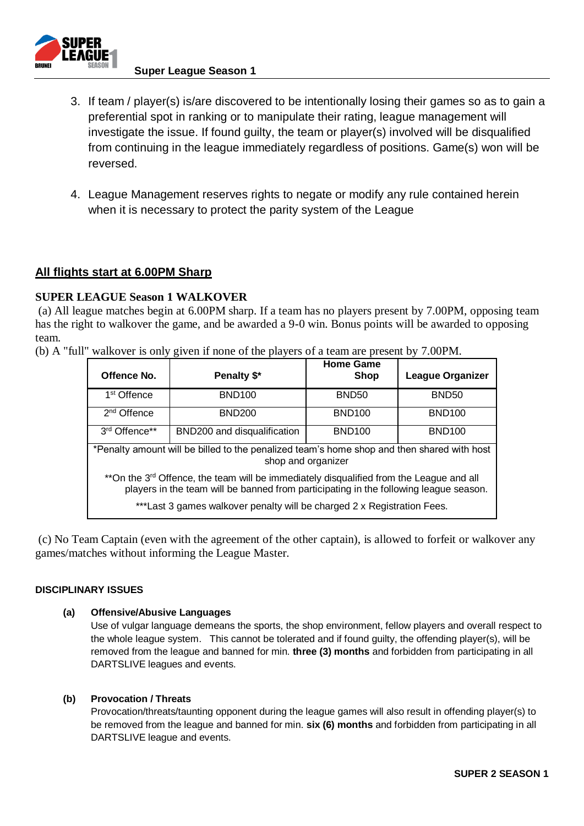

### **Super League Season 1**

- 3. If team / player(s) is/are discovered to be intentionally losing their games so as to gain a preferential spot in ranking or to manipulate their rating, league management will investigate the issue. If found guilty, the team or player(s) involved will be disqualified from continuing in the league immediately regardless of positions. Game(s) won will be reversed.
- 4. League Management reserves rights to negate or modify any rule contained herein when it is necessary to protect the parity system of the League

## **All flights start at 6.00PM Sharp**

## **SUPER LEAGUE Season 1 WALKOVER**

(a) All league matches begin at 6.00PM sharp. If a team has no players present by 7.00PM, opposing team has the right to walkover the game, and be awarded a 9-0 win. Bonus points will be awarded to opposing team.

|  |  |  |  |  |  |  | (b) A "full" walkover is only given if none of the players of a team are present by 7.00PM. |
|--|--|--|--|--|--|--|---------------------------------------------------------------------------------------------|
|  |  |  |  |  |  |  |                                                                                             |

| Offence No.                                                                                                                                                                                  | Penalty \$*                 | <b>Home Game</b><br><b>Shop</b> | League Organizer |  |  |  |  |
|----------------------------------------------------------------------------------------------------------------------------------------------------------------------------------------------|-----------------------------|---------------------------------|------------------|--|--|--|--|
| 1 <sup>st</sup> Offence                                                                                                                                                                      | <b>BND100</b>               | BND <sub>50</sub>               | <b>BND50</b>     |  |  |  |  |
| 2 <sup>nd</sup> Offence                                                                                                                                                                      | <b>BND200</b>               | <b>BND100</b>                   | <b>BND100</b>    |  |  |  |  |
| 3rd Offence**                                                                                                                                                                                | BND200 and disqualification | <b>BND100</b>                   | <b>BND100</b>    |  |  |  |  |
| *Penalty amount will be billed to the penalized team's home shop and then shared with host<br>shop and organizer                                                                             |                             |                                 |                  |  |  |  |  |
| **On the 3 <sup>rd</sup> Offence, the team will be immediately disqualified from the League and all<br>players in the team will be banned from participating in the following league season. |                             |                                 |                  |  |  |  |  |
| ***Last 3 games walkover penalty will be charged 2 x Registration Fees.                                                                                                                      |                             |                                 |                  |  |  |  |  |

(c) No Team Captain (even with the agreement of the other captain), is allowed to forfeit or walkover any games/matches without informing the League Master.

### **DISCIPLINARY ISSUES**

### **(a) Offensive/Abusive Languages**

Use of vulgar language demeans the sports, the shop environment, fellow players and overall respect to the whole league system. This cannot be tolerated and if found guilty, the offending player(s), will be removed from the league and banned for min. **three (3) months** and forbidden from participating in all DARTSLIVE leagues and events.

### **(b) Provocation / Threats**

Provocation/threats/taunting opponent during the league games will also result in offending player(s) to be removed from the league and banned for min. **six (6) months** and forbidden from participating in all DARTSLIVE league and events.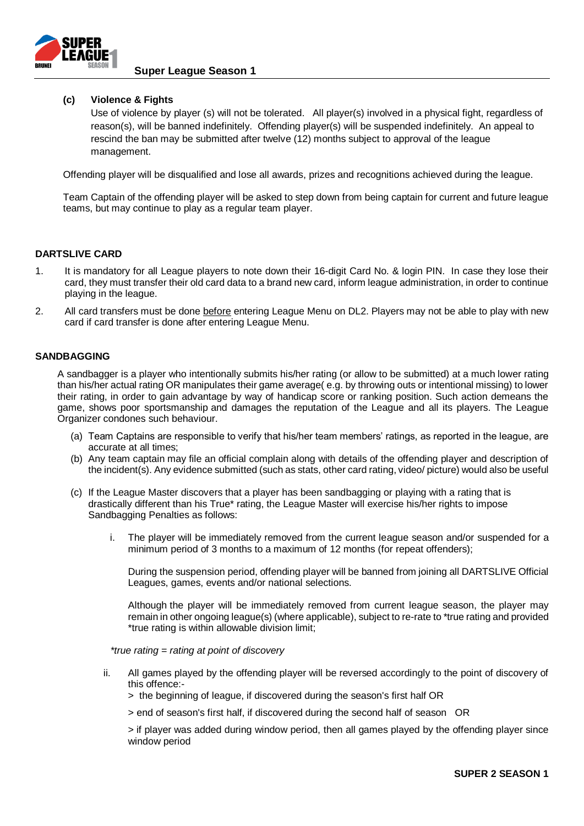

### **Super League Season 1**

#### **(c) Violence & Fights**

Use of violence by player (s) will not be tolerated. All player(s) involved in a physical fight, regardless of reason(s), will be banned indefinitely. Offending player(s) will be suspended indefinitely. An appeal to rescind the ban may be submitted after twelve (12) months subject to approval of the league management.

Offending player will be disqualified and lose all awards, prizes and recognitions achieved during the league.

Team Captain of the offending player will be asked to step down from being captain for current and future league teams, but may continue to play as a regular team player.

#### **DARTSLIVE CARD**

- 1. It is mandatory for all League players to note down their 16-digit Card No. & login PIN. In case they lose their card, they must transfer their old card data to a brand new card, inform league administration, in order to continue playing in the league.
- 2. All card transfers must be done before entering League Menu on DL2. Players may not be able to play with new card if card transfer is done after entering League Menu.

#### **SANDBAGGING**

A sandbagger is a player who intentionally submits his/her rating (or allow to be submitted) at a much lower rating than his/her actual rating OR manipulates their game average( e.g. by throwing outs or intentional missing) to lower their rating, in order to gain advantage by way of handicap score or ranking position. Such action demeans the game, shows poor sportsmanship and damages the reputation of the League and all its players. The League Organizer condones such behaviour.

- (a) Team Captains are responsible to verify that his/her team members' ratings, as reported in the league, are accurate at all times;
- (b) Any team captain may file an official complain along with details of the offending player and description of the incident(s). Any evidence submitted (such as stats, other card rating, video/ picture) would also be useful
- (c) If the League Master discovers that a player has been sandbagging or playing with a rating that is drastically different than his True\* rating, the League Master will exercise his/her rights to impose Sandbagging Penalties as follows:
	- i. The player will be immediately removed from the current league season and/or suspended for a minimum period of 3 months to a maximum of 12 months (for repeat offenders);

During the suspension period, offending player will be banned from joining all DARTSLIVE Official Leagues, games, events and/or national selections.

Although the player will be immediately removed from current league season, the player may remain in other ongoing league(s) (where applicable), subject to re-rate to \*true rating and provided \*true rating is within allowable division limit;

*\*true rating = rating at point of discovery*

- ii. All games played by the offending player will be reversed accordingly to the point of discovery of this offence:-
	- > the beginning of league, if discovered during the season's first half OR
	- > end of season's first half, if discovered during the second half of season OR

> if player was added during window period, then all games played by the offending player since window period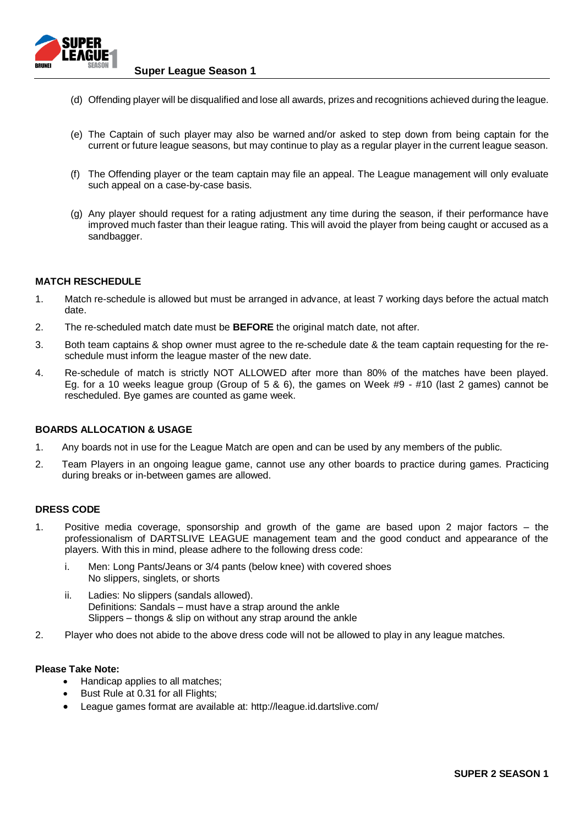

**Super League Season 1**

- (d) Offending player will be disqualified and lose all awards, prizes and recognitions achieved during the league.
- (e) The Captain of such player may also be warned and/or asked to step down from being captain for the current or future league seasons, but may continue to play as a regular player in the current league season.
- (f) The Offending player or the team captain may file an appeal. The League management will only evaluate such appeal on a case-by-case basis.
- (g) Any player should request for a rating adjustment any time during the season, if their performance have improved much faster than their league rating. This will avoid the player from being caught or accused as a sandbagger.

#### **MATCH RESCHEDULE**

- 1. Match re-schedule is allowed but must be arranged in advance, at least 7 working days before the actual match date.
- 2. The re-scheduled match date must be **BEFORE** the original match date, not after.
- 3. Both team captains & shop owner must agree to the re-schedule date & the team captain requesting for the reschedule must inform the league master of the new date.
- 4. Re-schedule of match is strictly NOT ALLOWED after more than 80% of the matches have been played. Eg. for a 10 weeks league group (Group of 5 & 6), the games on Week #9 - #10 (last 2 games) cannot be rescheduled. Bye games are counted as game week.

#### **BOARDS ALLOCATION & USAGE**

- 1. Any boards not in use for the League Match are open and can be used by any members of the public.
- 2. Team Players in an ongoing league game, cannot use any other boards to practice during games. Practicing during breaks or in-between games are allowed.

#### **DRESS CODE**

- 1. Positive media coverage, sponsorship and growth of the game are based upon 2 major factors the professionalism of DARTSLIVE LEAGUE management team and the good conduct and appearance of the players. With this in mind, please adhere to the following dress code:
	- i. Men: Long Pants/Jeans or 3/4 pants (below knee) with covered shoes No slippers, singlets, or shorts
	- ii. Ladies: No slippers (sandals allowed). Definitions: Sandals – must have a strap around the ankle Slippers – thongs & slip on without any strap around the ankle
- 2. Player who does not abide to the above dress code will not be allowed to play in any league matches.

#### **Please Take Note:**

- Handicap applies to all matches;
- Bust Rule at 0.31 for all Flights;
- League games format are available at: http://league.id.dartslive.com/